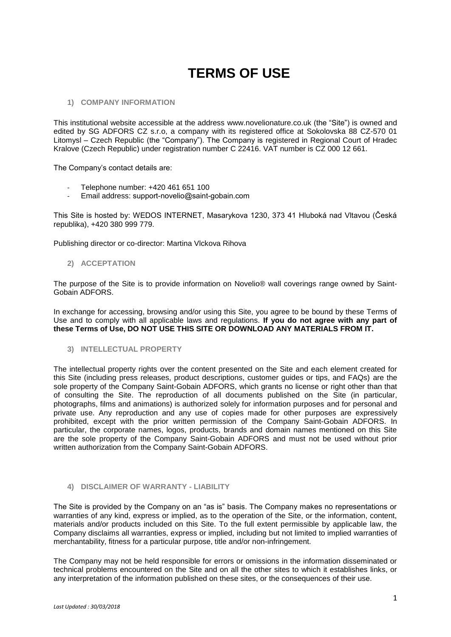# **TERMS OF USE**

#### **1) COMPANY INFORMATION**

This institutional website accessible at the address www.novelionature.co.uk (the "Site") is owned and edited by SG ADFORS CZ s.r.o, a company with its registered office at Sokolovska 88 CZ-570 01 Litomysl – Czech Republic (the "Company"). The Company is registered in Regional Court of Hradec Kralove (Czech Republic) under registration number C 22416. VAT number is CZ 000 12 661.

The Company's contact details are:

- Telephone number: +420 461 651 100
- Email address: support-novelio@saint-gobain.com

This Site is hosted by: WEDOS INTERNET, Masarykova 1230, 373 41 Hluboká nad Vltavou (Česká republika), +420 380 999 779.

Publishing director or co-director: Martina Vlckova Rihova

#### **2) ACCEPTATION**

The purpose of the Site is to provide information on Novelio® wall coverings range owned by Saint-Gobain ADFORS.

In exchange for accessing, browsing and/or using this Site, you agree to be bound by these Terms of Use and to comply with all applicable laws and regulations. **If you do not agree with any part of these Terms of Use, DO NOT USE THIS SITE OR DOWNLOAD ANY MATERIALS FROM IT.**

**3) INTELLECTUAL PROPERTY**

The intellectual property rights over the content presented on the Site and each element created for this Site (including press releases, product descriptions, customer guides or tips, and FAQs) are the sole property of the Company Saint-Gobain ADFORS, which grants no license or right other than that of consulting the Site. The reproduction of all documents published on the Site (in particular, photographs, films and animations) is authorized solely for information purposes and for personal and private use. Any reproduction and any use of copies made for other purposes are expressively prohibited, except with the prior written permission of the Company Saint-Gobain ADFORS. In particular, the corporate names, logos, products, brands and domain names mentioned on this Site are the sole property of the Company Saint-Gobain ADFORS and must not be used without prior written authorization from the Company Saint-Gobain ADFORS.

# **4) DISCLAIMER OF WARRANTY - LIABILITY**

The Site is provided by the Company on an "as is" basis. The Company makes no representations or warranties of any kind, express or implied, as to the operation of the Site, or the information, content, materials and/or products included on this Site. To the full extent permissible by applicable law, the Company disclaims all warranties, express or implied, including but not limited to implied warranties of merchantability, fitness for a particular purpose, title and/or non-infringement.

The Company may not be held responsible for errors or omissions in the information disseminated or technical problems encountered on the Site and on all the other sites to which it establishes links, or any interpretation of the information published on these sites, or the consequences of their use.